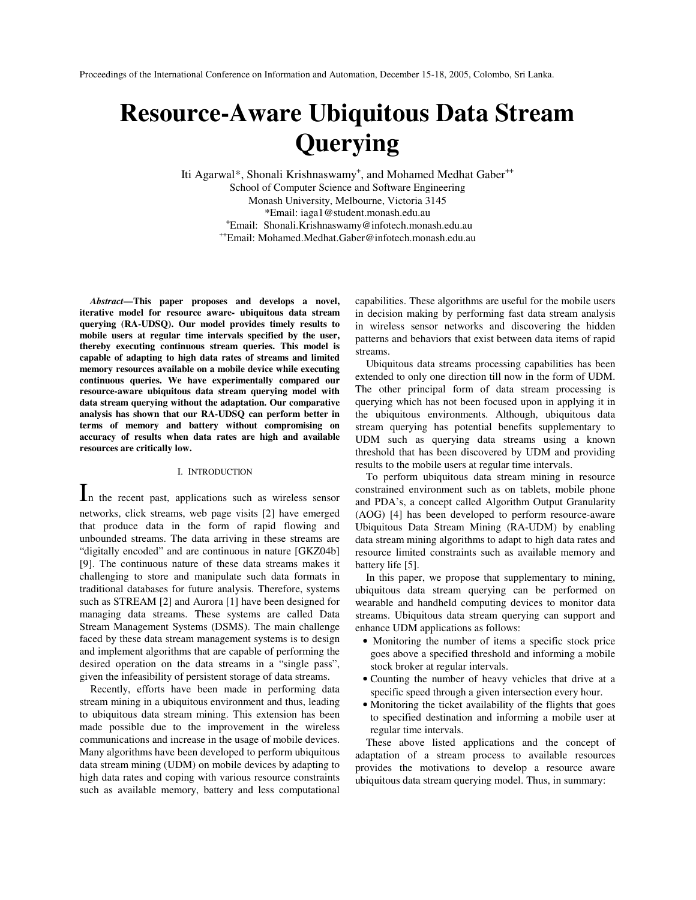# **Resource-Aware Ubiquitous Data Stream Querying**

Iti Agarwal\*, Shonali Krishnaswamy<sup>+</sup>, and Mohamed Medhat Gaber<sup>++</sup> School of Computer Science and Software Engineering Monash University, Melbourne, Victoria 3145 \*Email: iaga1@student.monash.edu.au + Email: Shonali.Krishnaswamy@infotech.monash.edu.au ++ Email: Mohamed.Medhat.Gaber@infotech.monash.edu.au

*Abstract***—This paper proposes and develops a novel, iterative model for resource aware- ubiquitous data stream querying (RA-UDSQ). Our model provides timely results to mobile users at regular time intervals specified by the user, thereby executing continuous stream queries. This model is capable of adapting to high data rates of streams and limited memory resources available on a mobile device while executing continuous queries. We have experimentally compared our resource-aware ubiquitous data stream querying model with data stream querying without the adaptation. Our comparative analysis has shown that our RA-UDSQ can perform better in terms of memory and battery without compromising on accuracy of results when data rates are high and available resources are critically low.**

#### I. INTRODUCTION

I<sup>n</sup> the recent past, applications such as wireless sensor networks, click streams, web page visits [2] have emerged that produce data in the form of rapid flowing and unbounded streams. The data arriving in these streams are "digitally encoded" and are continuous in nature [GKZ04b] [9]. The continuous nature of these data streams makes it challenging to store and manipulate such data formats in traditional databases for future analysis. Therefore, systems such as STREAM [2] and Aurora [1] have been designed for managing data streams. These systems are called Data Stream Management Systems (DSMS). The main challenge faced by these data stream management systems is to design and implement algorithms that are capable of performing the desired operation on the data streams in a "single pass", given the infeasibility of persistent storage of data streams.

Recently, efforts have been made in performing data stream mining in a ubiquitous environment and thus, leading to ubiquitous data stream mining. This extension has been made possible due to the improvement in the wireless communications and increase in the usage of mobile devices. Many algorithms have been developed to perform ubiquitous data stream mining (UDM) on mobile devices by adapting to high data rates and coping with various resource constraints such as available memory, battery and less computational

capabilities. These algorithms are useful for the mobile users in decision making by performing fast data stream analysis in wireless sensor networks and discovering the hidden patterns and behaviors that exist between data items of rapid streams.

Ubiquitous data streams processing capabilities has been extended to only one direction till now in the form of UDM. The other principal form of data stream processing is querying which has not been focused upon in applying it in the ubiquitous environments. Although, ubiquitous data stream querying has potential benefits supplementary to UDM such as querying data streams using a known threshold that has been discovered by UDM and providing results to the mobile users at regular time intervals.

To perform ubiquitous data stream mining in resource constrained environment such as on tablets, mobile phone and PDA's, a concept called Algorithm Output Granularity (AOG) [4] has been developed to perform resource-aware Ubiquitous Data Stream Mining (RA-UDM) by enabling data stream mining algorithms to adapt to high data rates and resource limited constraints such as available memory and battery life [5].

In this paper, we propose that supplementary to mining, ubiquitous data stream querying can be performed on wearable and handheld computing devices to monitor data streams. Ubiquitous data stream querying can support and enhance UDM applications as follows:

- Monitoring the number of items a specific stock price goes above a specified threshold and informing a mobile stock broker at regular intervals.
- Counting the number of heavy vehicles that drive at a specific speed through a given intersection every hour.
- Monitoring the ticket availability of the flights that goes to specified destination and informing a mobile user at regular time intervals.

These above listed applications and the concept of adaptation of a stream process to available resources provides the motivations to develop a resource aware ubiquitous data stream querying model. Thus, in summary: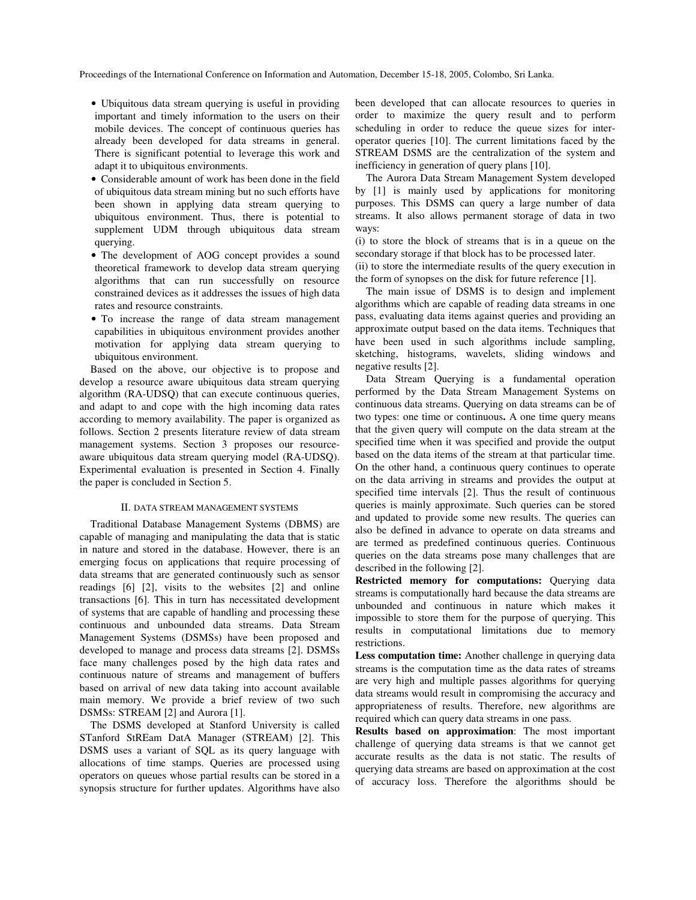- Ubiquitous data stream querying is useful in providing important and timely information to the users on their mobile devices. The concept of continuous queries has already been developed for data streams in general. There is significant potential to leverage this work and adapt it to ubiquitous environments.
- Considerable amount of work has been done in the field of ubiquitous data stream mining but no such efforts have been shown in applying data stream querying to ubiquitous environment. Thus, there is potential to supplement UDM through ubiquitous data stream querying.
- The development of AOG concept provides a sound theoretical framework to develop data stream querying algorithms that can run successfully on resource constrained devices as it addresses the issues of high data rates and resource constraints.
- To increase the range of data stream management capabilities in ubiquitous environment provides another motivation for applying data stream querying to ubiquitous environment.

Based on the above, our objective is to propose and develop a resource aware ubiquitous data stream querying algorithm (RA-UDSQ) that can execute continuous queries, and adapt to and cope with the high incoming data rates according to memory availability. The paper is organized as follows. Section 2 presents literature review of data stream management systems. Section 3 proposes our resourceaware ubiquitous data stream querying model (RA-UDSQ). Experimental evaluation is presented in Section 4. Finally the paper is concluded in Section 5.

### II. DATA STREAM MANAGEMENT SYSTEMS

Traditional Database Management Systems (DBMS) are capable of managing and manipulating the data that is static in nature and stored in the database. However, there is an emerging focus on applications that require processing of data streams that are generated continuously such as sensor readings [6] [2], visits to the websites [2] and online transactions [6]. This in turn has necessitated development of systems that are capable of handling and processing these continuous and unbounded data streams. Data Stream Management Systems (DSMSs) have been proposed and developed to manage and process data streams [2]. DSMSs face many challenges posed by the high data rates and continuous nature of streams and management of buffers based on arrival of new data taking into account available main memory. We provide a brief review of two such DSMSs: STREAM [2] and Aurora [1].

The DSMS developed at Stanford University is called STanford StREam DatA Manager (STREAM) [2]. This DSMS uses a variant of SQL as its query language with allocations of time stamps. Queries are processed using operators on queues whose partial results can be stored in a synopsis structure for further updates. Algorithms have also

been developed that can allocate resources to queries in order to maximize the query result and to perform scheduling in order to reduce the queue sizes for interoperator queries [10]. The current limitations faced by the STREAM DSMS are the centralization of the system and inefficiency in generation of query plans [10].

The Aurora Data Stream Management System developed by [1] is mainly used by applications for monitoring purposes. This DSMS can query a large number of data streams. It also allows permanent storage of data in two ways:

(i) to store the block of streams that is in a queue on the secondary storage if that block has to be processed later.

(ii) to store the intermediate results of the query execution in the form of synopses on the disk for future reference [1].

The main issue of DSMS is to design and implement algorithms which are capable of reading data streams in one pass, evaluating data items against queries and providing an approximate output based on the data items. Techniques that have been used in such algorithms include sampling, sketching, histograms, wavelets, sliding windows and negative results [2].

Data Stream Querying is a fundamental operation performed by the Data Stream Management Systems on continuous data streams. Querying on data streams can be of two types: one time or continuous**.** A one time query means that the given query will compute on the data stream at the specified time when it was specified and provide the output based on the data items of the stream at that particular time. On the other hand, a continuous query continues to operate on the data arriving in streams and provides the output at specified time intervals [2]. Thus the result of continuous queries is mainly approximate. Such queries can be stored and updated to provide some new results. The queries can also be defined in advance to operate on data streams and are termed as predefined continuous queries. Continuous queries on the data streams pose many challenges that are described in the following [2].

**Restricted memory for computations:** Querying data streams is computationally hard because the data streams are unbounded and continuous in nature which makes it impossible to store them for the purpose of querying. This results in computational limitations due to memory restrictions.

**Less computation time:** Another challenge in querying data streams is the computation time as the data rates of streams are very high and multiple passes algorithms for querying data streams would result in compromising the accuracy and appropriateness of results. Therefore, new algorithms are required which can query data streams in one pass.

**Results based on approximation**: The most important challenge of querying data streams is that we cannot get accurate results as the data is not static. The results of querying data streams are based on approximation at the cost of accuracy loss. Therefore the algorithms should be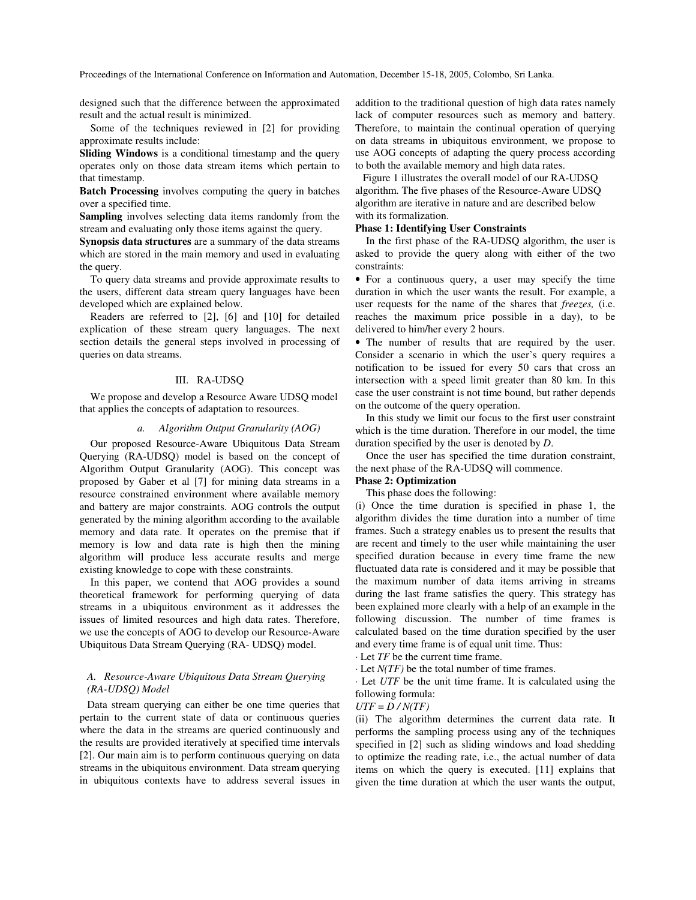designed such that the difference between the approximated result and the actual result is minimized.

Some of the techniques reviewed in [2] for providing approximate results include:

**Sliding Windows** is a conditional timestamp and the query operates only on those data stream items which pertain to that timestamp.

**Batch Processing** involves computing the query in batches over a specified time.

**Sampling** involves selecting data items randomly from the stream and evaluating only those items against the query.

**Synopsis data structures** are a summary of the data streams which are stored in the main memory and used in evaluating the query.

To query data streams and provide approximate results to the users, different data stream query languages have been developed which are explained below.

Readers are referred to [2], [6] and [10] for detailed explication of these stream query languages. The next section details the general steps involved in processing of queries on data streams.

#### III. RA-UDSQ

We propose and develop a Resource Aware UDSQ model that applies the concepts of adaptation to resources.

#### *a. Algorithm Output Granularity (AOG)*

Our proposed Resource-Aware Ubiquitous Data Stream Querying (RA-UDSQ) model is based on the concept of Algorithm Output Granularity (AOG). This concept was proposed by Gaber et al [7] for mining data streams in a resource constrained environment where available memory and battery are major constraints. AOG controls the output generated by the mining algorithm according to the available memory and data rate. It operates on the premise that if memory is low and data rate is high then the mining algorithm will produce less accurate results and merge existing knowledge to cope with these constraints.

In this paper, we contend that AOG provides a sound theoretical framework for performing querying of data streams in a ubiquitous environment as it addresses the issues of limited resources and high data rates. Therefore, we use the concepts of AOG to develop our Resource-Aware Ubiquitous Data Stream Querying (RA- UDSQ) model.

### *A. Resource-Aware Ubiquitous Data Stream Querying (RA-UDSQ) Model*

Data stream querying can either be one time queries that pertain to the current state of data or continuous queries where the data in the streams are queried continuously and the results are provided iteratively at specified time intervals [2]. Our main aim is to perform continuous querying on data streams in the ubiquitous environment. Data stream querying in ubiquitous contexts have to address several issues in addition to the traditional question of high data rates namely lack of computer resources such as memory and battery. Therefore, to maintain the continual operation of querying on data streams in ubiquitous environment, we propose to use AOG concepts of adapting the query process according to both the available memory and high data rates.

Figure 1 illustrates the overall model of our RA-UDSQ algorithm. The five phases of the Resource-Aware UDSQ algorithm are iterative in nature and are described below with its formalization.

## **Phase 1: Identifying User Constraints**

In the first phase of the RA-UDSQ algorithm, the user is asked to provide the query along with either of the two constraints:

• For a continuous query, a user may specify the time duration in which the user wants the result. For example, a user requests for the name of the shares that *freezes,* (i.e. reaches the maximum price possible in a day), to be delivered to him/her every 2 hours.

• The number of results that are required by the user. Consider a scenario in which the user's query requires a notification to be issued for every 50 cars that cross an intersection with a speed limit greater than 80 km. In this case the user constraint is not time bound, but rather depends on the outcome of the query operation.

In this study we limit our focus to the first user constraint which is the time duration. Therefore in our model, the time duration specified by the user is denoted by *D*.

Once the user has specified the time duration constraint, the next phase of the RA-UDSQ will commence.

## **Phase 2: Optimization**

This phase does the following:

(i) Once the time duration is specified in phase 1, the algorithm divides the time duration into a number of time frames. Such a strategy enables us to present the results that are recent and timely to the user while maintaining the user specified duration because in every time frame the new fluctuated data rate is considered and it may be possible that the maximum number of data items arriving in streams during the last frame satisfies the query. This strategy has been explained more clearly with a help of an example in the following discussion. The number of time frames is calculated based on the time duration specified by the user and every time frame is of equal unit time. Thus:

· Let *TF* be the current time frame.

· Let *N(TF)* be the total number of time frames.

· Let *UTF* be the unit time frame. It is calculated using the following formula:

## *UTF* = *D / N(TF)*

(ii) The algorithm determines the current data rate. It performs the sampling process using any of the techniques specified in [2] such as sliding windows and load shedding to optimize the reading rate, i.e., the actual number of data items on which the query is executed. [11] explains that given the time duration at which the user wants the output,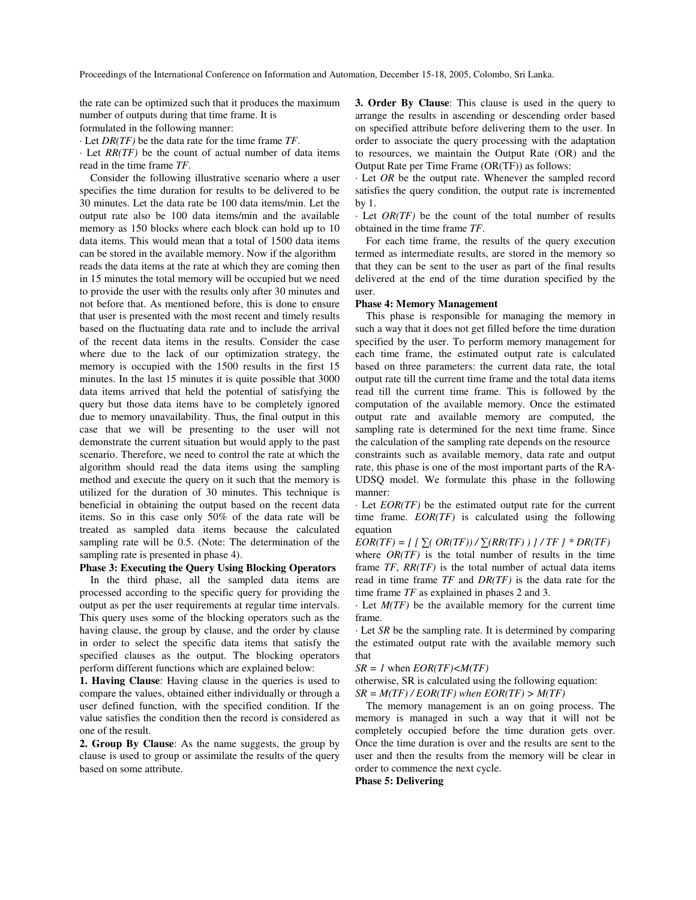the rate can be optimized such that it produces the maximum number of outputs during that time frame. It is formulated in the following manner:

· Let *DR(TF)* be the data rate for the time frame *TF*.

· Let *RR(TF)* be the count of actual number of data items read in the time frame *TF*.

Consider the following illustrative scenario where a user specifies the time duration for results to be delivered to be 30 minutes. Let the data rate be 100 data items/min. Let the output rate also be 100 data items/min and the available memory as 150 blocks where each block can hold up to 10 data items. This would mean that a total of 1500 data items can be stored in the available memory. Now if the algorithm reads the data items at the rate at which they are coming then in 15 minutes the total memory will be occupied but we need to provide the user with the results only after 30 minutes and not before that. As mentioned before, this is done to ensure that user is presented with the most recent and timely results based on the fluctuating data rate and to include the arrival of the recent data items in the results. Consider the case where due to the lack of our optimization strategy, the memory is occupied with the 1500 results in the first 15 minutes. In the last 15 minutes it is quite possible that 3000 data items arrived that held the potential of satisfying the query but those data items have to be completely ignored due to memory unavailability. Thus, the final output in this case that we will be presenting to the user will not demonstrate the current situation but would apply to the past scenario. Therefore, we need to control the rate at which the algorithm should read the data items using the sampling method and execute the query on it such that the memory is utilized for the duration of 30 minutes. This technique is beneficial in obtaining the output based on the recent data items. So in this case only 50% of the data rate will be treated as sampled data items because the calculated sampling rate will be 0.5. (Note: The determination of the sampling rate is presented in phase 4).

## **Phase 3: Executing the Query Using Blocking Operators**

In the third phase, all the sampled data items are processed according to the specific query for providing the output as per the user requirements at regular time intervals. This query uses some of the blocking operators such as the having clause, the group by clause, and the order by clause in order to select the specific data items that satisfy the specified clauses as the output. The blocking operators perform different functions which are explained below:

**1. Having Clause**: Having clause in the queries is used to compare the values, obtained either individually or through a user defined function, with the specified condition. If the value satisfies the condition then the record is considered as one of the result.

**2. Group By Clause**: As the name suggests, the group by clause is used to group or assimilate the results of the query based on some attribute.

**3. Order By Clause**: This clause is used in the query to arrange the results in ascending or descending order based on specified attribute before delivering them to the user. In order to associate the query processing with the adaptation to resources, we maintain the Output Rate (OR) and the Output Rate per Time Frame (OR(TF)) as follows:

· Let *OR* be the output rate. Whenever the sampled record satisfies the query condition, the output rate is incremented by 1.

· Let *OR(TF)* be the count of the total number of results obtained in the time frame *TF*.

For each time frame, the results of the query execution termed as intermediate results, are stored in the memory so that they can be sent to the user as part of the final results delivered at the end of the time duration specified by the user.

### **Phase 4: Memory Management**

This phase is responsible for managing the memory in such a way that it does not get filled before the time duration specified by the user. To perform memory management for each time frame, the estimated output rate is calculated based on three parameters: the current data rate, the total output rate till the current time frame and the total data items read till the current time frame. This is followed by the computation of the available memory. Once the estimated output rate and available memory are computed, the sampling rate is determined for the next time frame. Since the calculation of the sampling rate depends on the resource constraints such as available memory, data rate and output rate, this phase is one of the most important parts of the RA-UDSQ model. We formulate this phase in the following manner:

· Let *EOR(TF)* be the estimated output rate for the current time frame. *EOR(TF)* is calculated using the following equation

 $EOR(TF) = \frac{1}{2} \int_{\mathbb{R}} (OR(TF)) / \sum (RR(TF)) / TF$   $\neq DR(TF)$ where *OR(TF)* is the total number of results in the time frame *TF*, *RR(TF)* is the total number of actual data items read in time frame *TF* and *DR(TF)* is the data rate for the time frame *TF* as explained in phases 2 and 3.

· Let *M(TF)* be the available memory for the current time frame.

· Let *SR* be the sampling rate. It is determined by comparing the estimated output rate with the available memory such that

 $SR = 1$  when  $EOR(TF) < M(TF)$ 

otherwise, SR is calculated using the following equation:  $SR = M(TF)/EOR(TF)$  *when*  $EOR(TF) > M(TF)$ 

The memory management is an on going process. The memory is managed in such a way that it will not be completely occupied before the time duration gets over. Once the time duration is over and the results are sent to the user and then the results from the memory will be clear in order to commence the next cycle.

**Phase 5: Delivering**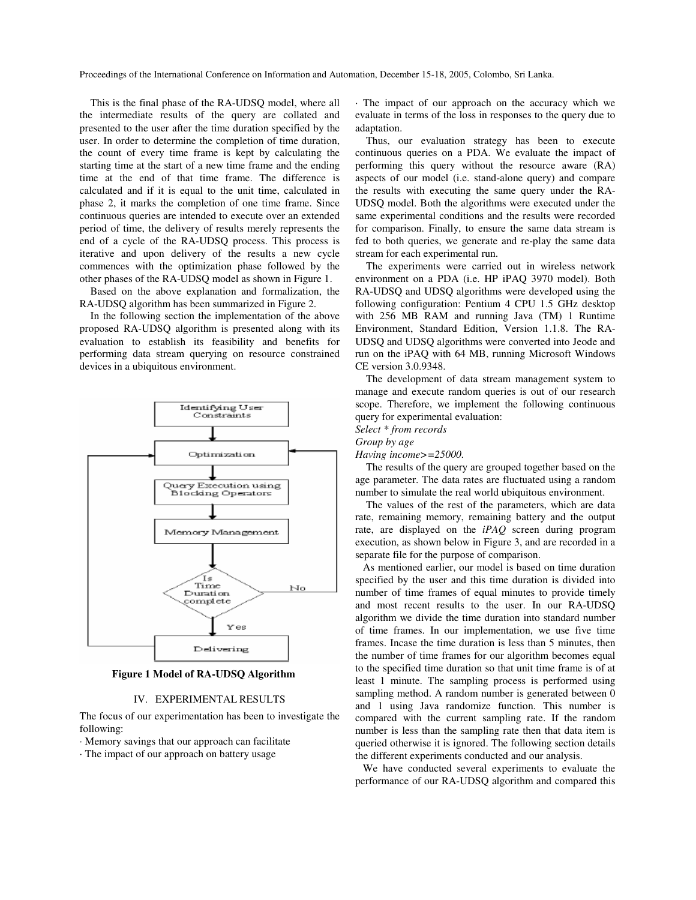This is the final phase of the RA-UDSQ model, where all the intermediate results of the query are collated and presented to the user after the time duration specified by the user. In order to determine the completion of time duration, the count of every time frame is kept by calculating the starting time at the start of a new time frame and the ending time at the end of that time frame. The difference is calculated and if it is equal to the unit time, calculated in phase 2, it marks the completion of one time frame. Since continuous queries are intended to execute over an extended period of time, the delivery of results merely represents the end of a cycle of the RA-UDSQ process. This process is iterative and upon delivery of the results a new cycle commences with the optimization phase followed by the other phases of the RA-UDSQ model as shown in Figure 1.

Based on the above explanation and formalization, the RA-UDSQ algorithm has been summarized in Figure 2.

In the following section the implementation of the above proposed RA-UDSQ algorithm is presented along with its evaluation to establish its feasibility and benefits for performing data stream querying on resource constrained devices in a ubiquitous environment.



**Figure 1 Model of RA-UDSQ Algorithm**

#### IV. EXPERIMENTAL RESULTS

The focus of our experimentation has been to investigate the following:

· Memory savings that our approach can facilitate

· The impact of our approach on battery usage

· The impact of our approach on the accuracy which we evaluate in terms of the loss in responses to the query due to adaptation.

Thus, our evaluation strategy has been to execute continuous queries on a PDA. We evaluate the impact of performing this query without the resource aware (RA) aspects of our model (i.e. stand-alone query) and compare the results with executing the same query under the RA-UDSQ model. Both the algorithms were executed under the same experimental conditions and the results were recorded for comparison. Finally, to ensure the same data stream is fed to both queries, we generate and re-play the same data stream for each experimental run.

The experiments were carried out in wireless network environment on a PDA (i.e. HP iPAQ 3970 model). Both RA-UDSQ and UDSQ algorithms were developed using the following configuration: Pentium 4 CPU 1.5 GHz desktop with 256 MB RAM and running Java (TM) 1 Runtime Environment, Standard Edition, Version 1.1.8. The RA-UDSQ and UDSQ algorithms were converted into Jeode and run on the iPAQ with 64 MB, running Microsoft Windows CE version 3.0.9348.

The development of data stream management system to manage and execute random queries is out of our research scope. Therefore, we implement the following continuous query for experimental evaluation:

*Select \* from records*

*Having income>=25000.*

The results of the query are grouped together based on the age parameter. The data rates are fluctuated using a random number to simulate the real world ubiquitous environment.

The values of the rest of the parameters, which are data rate, remaining memory, remaining battery and the output rate, are displayed on the *iPAQ* screen during program execution, as shown below in Figure 3, and are recorded in a separate file for the purpose of comparison.

As mentioned earlier, our model is based on time duration specified by the user and this time duration is divided into number of time frames of equal minutes to provide timely and most recent results to the user. In our RA-UDSQ algorithm we divide the time duration into standard number of time frames. In our implementation, we use five time frames. Incase the time duration is less than 5 minutes, then the number of time frames for our algorithm becomes equal to the specified time duration so that unit time frame is of at least 1 minute. The sampling process is performed using sampling method. A random number is generated between 0 and 1 using Java randomize function. This number is compared with the current sampling rate. If the random number is less than the sampling rate then that data item is queried otherwise it is ignored. The following section details the different experiments conducted and our analysis.

We have conducted several experiments to evaluate the performance of our RA-UDSQ algorithm and compared this

*Group by age*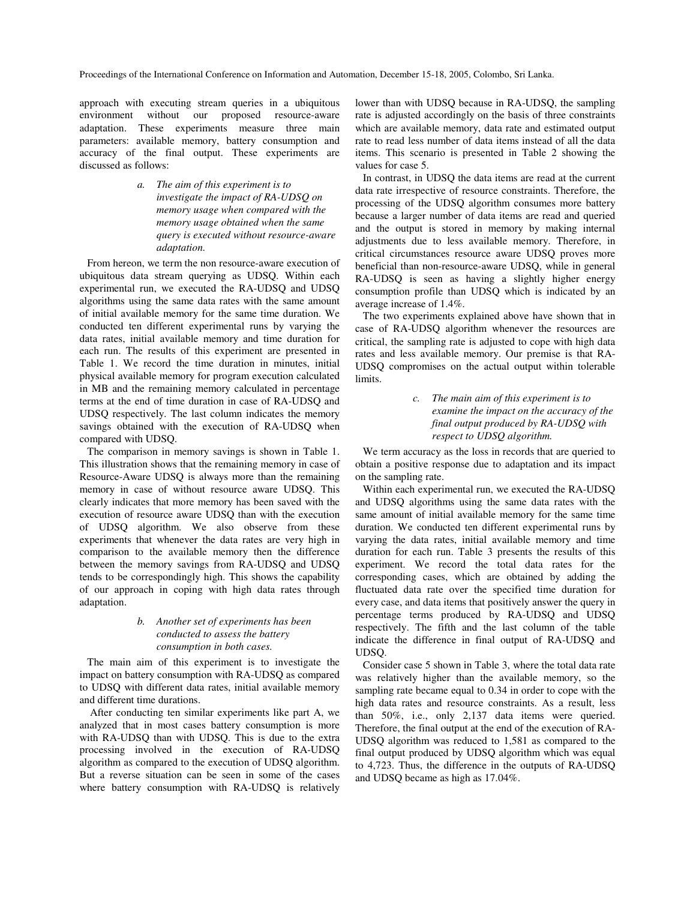approach with executing stream queries in a ubiquitous environment without our proposed resource-aware adaptation. These experiments measure three main parameters: available memory, battery consumption and accuracy of the final output. These experiments are discussed as follows:

> *a. The aim of this experiment is to investigate the impact of RA-UDSQ on memory usage when compared with the memory usage obtained when the same query is executed without resource-aware adaptation.*

From hereon, we term the non resource-aware execution of ubiquitous data stream querying as UDSQ. Within each experimental run, we executed the RA-UDSQ and UDSQ algorithms using the same data rates with the same amount of initial available memory for the same time duration. We conducted ten different experimental runs by varying the data rates, initial available memory and time duration for each run. The results of this experiment are presented in Table 1. We record the time duration in minutes, initial physical available memory for program execution calculated in MB and the remaining memory calculated in percentage terms at the end of time duration in case of RA-UDSQ and UDSQ respectively. The last column indicates the memory savings obtained with the execution of RA-UDSQ when compared with UDSQ.

The comparison in memory savings is shown in Table 1. This illustration shows that the remaining memory in case of Resource-Aware UDSQ is always more than the remaining memory in case of without resource aware UDSQ. This clearly indicates that more memory has been saved with the execution of resource aware UDSQ than with the execution of UDSQ algorithm. We also observe from these experiments that whenever the data rates are very high in comparison to the available memory then the difference between the memory savings from RA-UDSQ and UDSQ tends to be correspondingly high. This shows the capability of our approach in coping with high data rates through adaptation.

## *b. Another set of experiments has been conducted to assess the battery consumption in both cases.*

The main aim of this experiment is to investigate the impact on battery consumption with RA-UDSQ as compared to UDSQ with different data rates, initial available memory and different time durations.

After conducting ten similar experiments like part A, we analyzed that in most cases battery consumption is more with RA-UDSQ than with UDSQ. This is due to the extra processing involved in the execution of RA-UDSQ algorithm as compared to the execution of UDSQ algorithm. But a reverse situation can be seen in some of the cases where battery consumption with RA-UDSQ is relatively

lower than with UDSQ because in RA-UDSQ, the sampling rate is adjusted accordingly on the basis of three constraints which are available memory, data rate and estimated output rate to read less number of data items instead of all the data items. This scenario is presented in Table 2 showing the values for case 5.

In contrast, in UDSQ the data items are read at the current data rate irrespective of resource constraints. Therefore, the processing of the UDSQ algorithm consumes more battery because a larger number of data items are read and queried and the output is stored in memory by making internal adjustments due to less available memory. Therefore, in critical circumstances resource aware UDSQ proves more beneficial than non-resource-aware UDSQ, while in general RA-UDSQ is seen as having a slightly higher energy consumption profile than UDSQ which is indicated by an average increase of 1.4%.

The two experiments explained above have shown that in case of RA-UDSQ algorithm whenever the resources are critical, the sampling rate is adjusted to cope with high data rates and less available memory. Our premise is that RA-UDSQ compromises on the actual output within tolerable limits.

> *c. The main aim of this experiment is to examine the impact on the accuracy of the final output produced by RA-UDSQ with respect to UDSQ algorithm.*

We term accuracy as the loss in records that are queried to obtain a positive response due to adaptation and its impact on the sampling rate.

Within each experimental run, we executed the RA-UDSQ and UDSQ algorithms using the same data rates with the same amount of initial available memory for the same time duration. We conducted ten different experimental runs by varying the data rates, initial available memory and time duration for each run. Table 3 presents the results of this experiment. We record the total data rates for the corresponding cases, which are obtained by adding the fluctuated data rate over the specified time duration for every case, and data items that positively answer the query in percentage terms produced by RA-UDSQ and UDSQ respectively. The fifth and the last column of the table indicate the difference in final output of RA-UDSQ and UDSQ.

Consider case 5 shown in Table 3, where the total data rate was relatively higher than the available memory, so the sampling rate became equal to 0.34 in order to cope with the high data rates and resource constraints. As a result, less than 50%, i.e., only 2,137 data items were queried. Therefore, the final output at the end of the execution of RA-UDSQ algorithm was reduced to 1,581 as compared to the final output produced by UDSQ algorithm which was equal to 4,723. Thus, the difference in the outputs of RA-UDSQ and UDSQ became as high as 17.04%.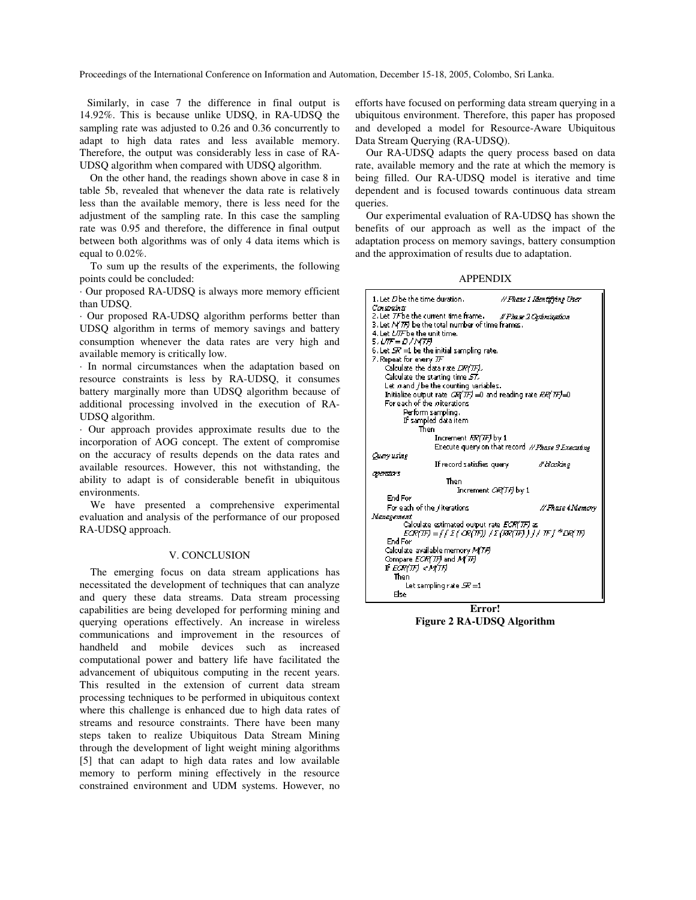Similarly, in case 7 the difference in final output is 14.92%. This is because unlike UDSQ, in RA-UDSQ the sampling rate was adjusted to 0.26 and 0.36 concurrently to adapt to high data rates and less available memory. Therefore, the output was considerably less in case of RA-UDSQ algorithm when compared with UDSQ algorithm.

On the other hand, the readings shown above in case 8 in table 5b, revealed that whenever the data rate is relatively less than the available memory, there is less need for the adjustment of the sampling rate. In this case the sampling rate was 0.95 and therefore, the difference in final output between both algorithms was of only 4 data items which is equal to 0.02%.

To sum up the results of the experiments, the following points could be concluded:

· Our proposed RA-UDSQ is always more memory efficient than UDSQ.

· Our proposed RA-UDSQ algorithm performs better than UDSQ algorithm in terms of memory savings and battery consumption whenever the data rates are very high and available memory is critically low.

· In normal circumstances when the adaptation based on resource constraints is less by RA-UDSQ, it consumes battery marginally more than UDSQ algorithm because of additional processing involved in the execution of RA-UDSQ algorithm.

· Our approach provides approximate results due to the incorporation of AOG concept. The extent of compromise on the accuracy of results depends on the data rates and available resources. However, this not withstanding, the ability to adapt is of considerable benefit in ubiquitous environments.

We have presented a comprehensive experimental evaluation and analysis of the performance of our proposed RA-UDSQ approach.

#### V. CONCLUSION

The emerging focus on data stream applications has necessitated the development of techniques that can analyze and query these data streams. Data stream processing capabilities are being developed for performing mining and querying operations effectively. An increase in wireless communications and improvement in the resources of handheld and mobile devices such as increased computational power and battery life have facilitated the advancement of ubiquitous computing in the recent years. This resulted in the extension of current data stream processing techniques to be performed in ubiquitous context where this challenge is enhanced due to high data rates of streams and resource constraints. There have been many steps taken to realize Ubiquitous Data Stream Mining through the development of light weight mining algorithms [5] that can adapt to high data rates and low available memory to perform mining effectively in the resource constrained environment and UDM systems. However, no efforts have focused on performing data stream querying in a ubiquitous environment. Therefore, this paper has proposed and developed a model for Resource-Aware Ubiquitous Data Stream Querying (RA-UDSQ).

Our RA-UDSQ adapts the query process based on data rate, available memory and the rate at which the memory is being filled. Our RA-UDSQ model is iterative and time dependent and is focused towards continuous data stream queries.

Our experimental evaluation of RA-UDSQ has shown the benefits of our approach as well as the impact of the adaptation process on memory savings, battery consumption and the approximation of results due to adaptation.

APPENDIX



**Error! Figure 2 RA-UDSQ Algorithm**